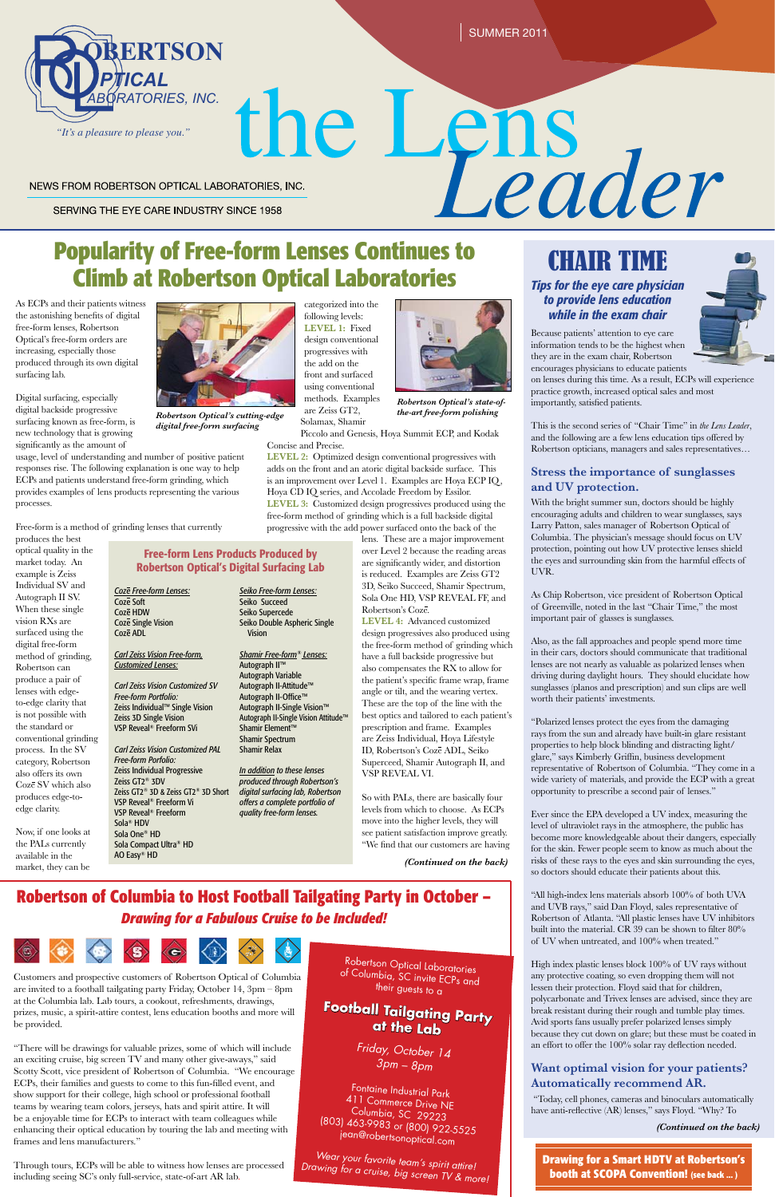SUMMER 2011

# **PRITICAL**<br> **PROM ROBERTSON OPTICAL LABORATORIES, INC.**<br> **POpularity of Free-form Lenses Continues to CHATR TIME**

SERVING THE EYE CARE INDUSTRY SINCE 1958

NEWS FROM ROBERTSON OPTICAL LABORATORIES, INC.



*(Continued on the back)*

# CHAIR TIME

### *Tips for the eye care physician to provide lens education while in the exam chair*



# **Climb at Robertson Optical Laboratories**

As ECPs and their patients witness the astonishing benefits of digital free-form lenses, Robertson Optical's free-form orders are increasing, especially those produced through its own digital surfacing lab.

Digital surfacing, especially digital backside progressive surfacing known as free-form, is new technology that is growing significantly as the amount of

usage, level of understanding and number of positive patient

responses rise. The following explanation is one way to help ECPs and patients understand free-form grinding, which provides examples of lens products representing the various processes.

Free-form is a method of grinding lenses that currently

produces the best optical quality in the market today. An example is Zeiss Individual SV and Autograph II SV. When these single vision RXs are surfaced using the digital free-form method of grinding, Robertson can produce a pair of lenses with edgeto-edge clarity that is not possible with the standard or conventional grinding process. In the SV category, Robertson also offers its own Coze SV which also produces edge-toedge clarity.

Now, if one looks at the PALs currently available in the market, they can be categorized into the following levels: **LEVEL 1:** Fixed design conventional progressives with the add on the front and surfaced



*Robertson Optical's cutting-edge are Zellis GT2*, *the-art free-form polishing digital free-form surfacing*

### using conventional methods. Examples are Zeiss GT2, Solamax, Shamir Piccolo and Genesis, Hoya Summit ECP, and Kodak Concise and Precise. **LEVEL 2:** Optimized design conventional progressives with adds on the front and an atoric digital backside surface. This

is an improvement over Level 1. Examples are Hoya ECP IQ, Hoya CD IQ series, and Accolade Freedom by Essilor. **LEVEL 3:** Customized design progressives produced using the free-form method of grinding which is a full backside digital

progressive with the add power surfaced onto the back of the lens. These are a major improvement over Level 2 because the reading areas are significantly wider, and distortion is reduced. Examples are Zeiss GT2

3D, Seiko Succeed, Shamir Spectrum, Sola One HD, VSP REVEAL FF, and Robertson's Coze.

**LEVEL 4:** Advanced customized design progressives also produced using the free-form method of grinding which have a full backside progressive but also compensates the RX to allow for the patient's specific frame wrap, frame angle or tilt, and the wearing vertex. These are the top of the line with the best optics and tailored to each patient's prescription and frame. Examples are Zeiss Individual, Hoya Lifestyle ID, Robertson's Coze ADL, Seiko Superceed, Shamir Autograph II, and VSP REVEAL VI.

So with PALs, there are basically four levels from which to choose. As ECPs move into the higher levels, they will see patient satisfaction improve greatly. "We find that our customers are having

*Robertson Optical's state-of-*

Customers and prospective customers of Robertson Optical of Columbia are invited to a football tailgating party Friday, October 14, 3pm – 8pm at the Columbia lab. Lab tours, a cookout, refreshments, drawings, prizes, music, a spirit-attire contest, lens education booths and more will be provided.

"There will be drawings for valuable prizes, some of which will include an exciting cruise, big screen TV and many other give-aways," said Scotty Scott, vice president of Robertson of Columbia. "We encourage ECPs, their families and guests to come to this fun-filled event, and show support for their college, high school or professional football teams by wearing team colors, jerseys, hats and spirit attire. It will be a enjoyable time for ECPs to interact with team colleagues while enhancing their optical education by touring the lab and meeting with frames and lens manufacturers."

Through tours, ECPs will be able to witness how lenses are processed including seeing SC's only full-service, state-of-art AR lab.

# **Robertson of Columbia to Host Football Tailgating Party in October –** *Drawing for a Fabulous Cruise to be Included!*



Robertson Optical Laboratories of Columbia, SC invite ECPs and their guests to a *Friday, October 14 3pm – 8pm* Fontaine Industrial Park 411 Commerce Drive NE Columbia, SC 29223 (803) 463-9983 or (800) 922-5525 jean@robertsonoptical.com **Football Tailgating Party at the Lab**

*Wear your favorite team's spirit attire! Drawing for a cruise, big screen TV & more!*

Because patients' attention to eye care information tends to be the highest when they are in the exam chair, Robertson encourages physicians to educate patients

on lenses during this time. As a result, ECPs will experience practice growth, increased optical sales and most importantly, satisfied patients.

This is the second series of "Chair Time" in *the Lens Leader*, and the following are a few lens education tips offered by Robertson opticians, managers and sales representatives…

### **Stress the importance of sunglasses and UV protection.**

With the bright summer sun, doctors should be highly encouraging adults and children to wear sunglasses, says Larry Patton, sales manager of Robertson Optical of Columbia. The physician's message should focus on UV protection, pointing out how UV protective lenses shield the eyes and surrounding skin from the harmful effects of UVR.

As Chip Robertson, vice president of Robertson Optical of Greenville, noted in the last "Chair Time," the most important pair of glasses is sunglasses.

Also, as the fall approaches and people spend more time in their cars, doctors should communicate that traditional lenses are not nearly as valuable as polarized lenses when driving during daylight hours. They should elucidate how sunglasses (planos and prescription) and sun clips are well worth their patients' investments.

"Polarized lenses protect the eyes from the damaging rays from the sun and already have built-in glare resistant properties to help block blinding and distracting light/ glare," says Kimberly Griffin, business development representative of Robertson of Columbia. "They come in a wide variety of materials, and provide the ECP with a great opportunity to prescribe a second pair of lenses."

Ever since the EPA developed a UV index, measuring the level of ultraviolet rays in the atmosphere, the public has become more knowledgeable about their dangers, especially for the skin. Fewer people seem to know as much about the risks of these rays to the eyes and skin surrounding the eyes, so doctors should educate their patients about this.

"All high-index lens materials absorb 100% of both UVA and UVB rays," said Dan Floyd, sales representative of Robertson of Atlanta. "All plastic lenses have UV inhibitors built into the material. CR 39 can be shown to filter 80% of UV when untreated, and 100% when treated."

High index plastic lenses block 100% of UV rays without any protective coating, so even dropping them will not lessen their protection. Floyd said that for children, polycarbonate and Trivex lenses are advised, since they are break resistant during their rough and tumble play times. Avid sports fans usually prefer polarized lenses simply because they cut down on glare; but these must be coated in an effort to offer the 100% solar ray deflection needed.

### **Want optimal vision for your patients? Automatically recommend AR.**

 "Today, cell phones, cameras and binoculars automatically have anti-reflective (AR) lenses," says Floyd. "Why? To

### Free-form Lens Products Produced by Robertson Optical's Digital Surfacing Lab

*Coze Free-form Lenses:* Coze Soft Coze HDW Coze Single Vision Coze ADL

### *Carl Zeiss Vision Free-form, Customized Lenses:*

*Carl Zeiss Vision Customized SV Free-form Portfolio:* Zeiss Individual™ Single Vision Zeiss 3D Single Vision VSP Reveal® Freeform SVi

*Carl Zeiss Vision Customized PAL Free-form Porfolio:* Zeiss Individual Progressive Zeiss GT2® 3DV Zeiss GT2® 3D & Zeiss GT2® 3D Short VSP Reveal® Freeform Vi VSP Reveal® Freeform Sola® HDV Sola One® HD Sola Compact Ultra® HD

AO Easy® HD

*Seiko Free-form Lenses:* Seiko Succeed Seiko Supercede Vision

## Seiko Double Aspheric Single *Shamir Free-form® Lenses:* Autograph II™

Autograph Variable Autograph II-Attitude™ Autograph II-Office™ Autograph II-Single Vision™ Autograph II-Single Vision Attitude™ Shamir Element™ Shamir Spectrum Shamir Relax

*In addition to these lenses produced through Robertson's digital surfacing lab, Robertson offers a complete portfolio of quality free-form lenses.*

*(Continued on the back)*

**Drawing for a Smart HDTV at Robertson's booth at SCOPA Convention! (see back ... )**